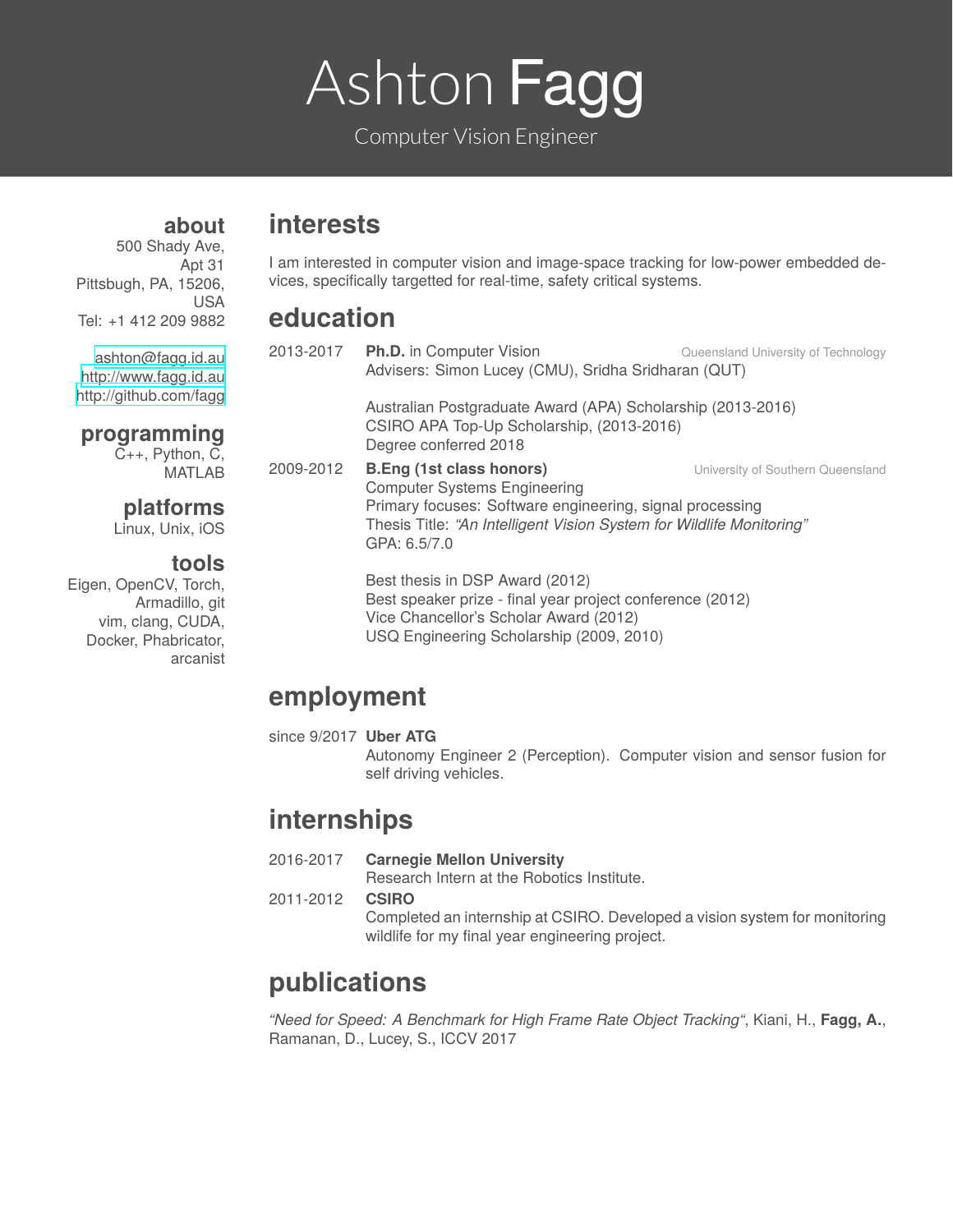# Ashton Fagg

Computer Vision Engineer

## **interests**

500 Shady Ave, Apt 31 Pittsbugh, PA, 15206, USA Tel: +1 412 209 9882

**about**

[ashton@fagg.id.au](mailto:ashton@fagg.id.au) <http://www.fagg.id.au> <http://github.com/fagg>

#### **programming**

C++, Python, C, MATLAB

### **platforms**

Linux, Unix, iOS

#### **tools**

Eigen, OpenCV, Torch, Armadillo, git vim, clang, CUDA, Docker, Phabricator, arcanist

I am interested in computer vision and image-space tracking for low-power embedded devices, specifically targetted for real-time, safety critical systems.

## **education**

|           | 2013-2017 Ph.D. in Computer Vision<br>Advisers: Simon Lucey (CMU), Sridha Sridharan (QUT)                                                                                                                                  | Queensland University of Technology |
|-----------|----------------------------------------------------------------------------------------------------------------------------------------------------------------------------------------------------------------------------|-------------------------------------|
|           | Australian Postgraduate Award (APA) Scholarship (2013-2016)<br>CSIRO APA Top-Up Scholarship, (2013-2016)<br>Degree conferred 2018                                                                                          |                                     |
| 2009-2012 | <b>B.Eng (1st class honors)</b><br><b>Computer Systems Engineering</b><br>Primary focuses: Software engineering, signal processing<br>Thesis Title: "An Intelligent Vision System for Wildlife Monitoring"<br>GPA: 6.5/7.0 | University of Southern Queensland   |
|           | Best thesis in DSP Award (2012)<br>Best speaker prize - final year project conference (2012)<br>Vice Chancellor's Scholar Award (2012)<br>USQ Engineering Scholarship (2009, 2010)                                         |                                     |

## **employment**

since 9/2017 **Uber ATG**

Autonomy Engineer 2 (Perception). Computer vision and sensor fusion for self driving vehicles.

## **internships**

2016-2017 **Carnegie Mellon University**

Research Intern at the Robotics Institute.

2011-2012 **CSIRO**

Completed an internship at CSIRO. Developed a vision system for monitoring wildlife for my final year engineering project.

# **publications**

*"Need for Speed: A Benchmark for High Frame Rate Object Tracking"*, Kiani, H., **Fagg, A.**, Ramanan, D., Lucey, S., ICCV 2017